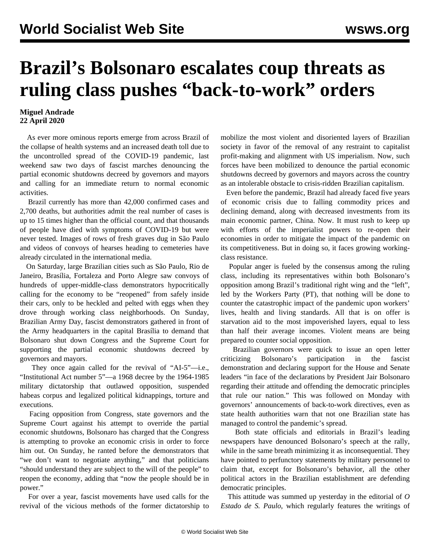## **Brazil's Bolsonaro escalates coup threats as ruling class pushes "back-to-work" orders**

## **Miguel Andrade 22 April 2020**

 As ever more ominous reports emerge from across Brazil of the collapse of health systems and an increased death toll due to the uncontrolled spread of the COVID-19 pandemic, last weekend saw two days of fascist marches denouncing the partial economic shutdowns decreed by governors and mayors and calling for an immediate return to normal economic activities.

 Brazil currently has more than 42,000 confirmed cases and 2,700 deaths, but authorities admit the real number of cases is up to 15 times higher than the official count, and that thousands of people have died with symptoms of COVID-19 but were never tested. Images of rows of fresh graves dug in São Paulo and videos of convoys of hearses heading to cemeteries have already circulated in the international media.

 On Saturday, large Brazilian cities such as São Paulo, Rio de Janeiro, Brasília, Fortaleza and Porto Alegre saw convoys of hundreds of upper-middle-class demonstrators hypocritically calling for the economy to be "reopened" from safely inside their cars, only to be heckled and pelted with eggs when they drove through working class neighborhoods. On Sunday, Brazilian Army Day, fascist demonstrators gathered in front of the Army headquarters in the capital Brasília to demand that Bolsonaro shut down Congress and the Supreme Court for supporting the partial economic shutdowns decreed by governors and mayors.

 They once again called for the revival of "AI-5"—i.e., "Institutional Act number 5"—a 1968 decree by the 1964-1985 military dictatorship that outlawed opposition, suspended habeas corpus and legalized political kidnappings, torture and executions.

 Facing opposition from Congress, state governors and the Supreme Court against his attempt to override the partial economic shutdowns, Bolsonaro has charged that the Congress is attempting to provoke an economic crisis in order to force him out. On Sunday, he ranted before the demonstrators that "we don't want to negotiate anything," and that politicians "should understand they are subject to the will of the people" to reopen the economy, adding that "now the people should be in power."

 For over a year, fascist movements have used calls for the revival of the vicious methods of the former dictatorship to mobilize the most violent and disoriented layers of Brazilian society in favor of the removal of any restraint to capitalist profit-making and alignment with US imperialism. Now, such forces have been mobilized to denounce the partial economic shutdowns decreed by governors and mayors across the country as an intolerable obstacle to crisis-ridden Brazilian capitalism.

 Even before the pandemic, Brazil had already faced five years of economic crisis due to falling commodity prices and declining demand, along with decreased investments from its main economic partner, China. Now. It must rush to keep up with efforts of the imperialist powers to re-open their economies in order to mitigate the impact of the pandemic on its competitiveness. But in doing so, it faces growing workingclass resistance.

 Popular anger is fueled by the consensus among the ruling class, including its representatives within both Bolsonaro's opposition among Brazil's traditional right wing and the "left", led by the Workers Party (PT), that nothing will be done to counter the catastrophic impact of the pandemic upon workers' lives, health and living standards. All that is on offer is starvation aid to the most impoverished layers, equal to less than half their average incomes. Violent means are being prepared to counter social opposition.

 Brazilian governors were quick to issue an open letter criticizing Bolsonaro's participation in the fascist demonstration and declaring support for the House and Senate leaders "in face of the declarations by President Jair Bolsonaro regarding their attitude and offending the democratic principles that rule our nation." This was followed on Monday with governors' announcements of back-to-work directives, even as state health authorities warn that not one Brazilian state has managed to control the pandemic's spread.

 Both state officials and editorials in Brazil's leading newspapers have denounced Bolsonaro's speech at the rally, while in the same breath minimizing it as inconsequential. They have pointed to perfunctory statements by military personnel to claim that, except for Bolsonaro's behavior, all the other political actors in the Brazilian establishment are defending democratic principles.

 This attitude was summed up yesterday in the editorial of *O Estado de S. Paulo*, which regularly features the writings of